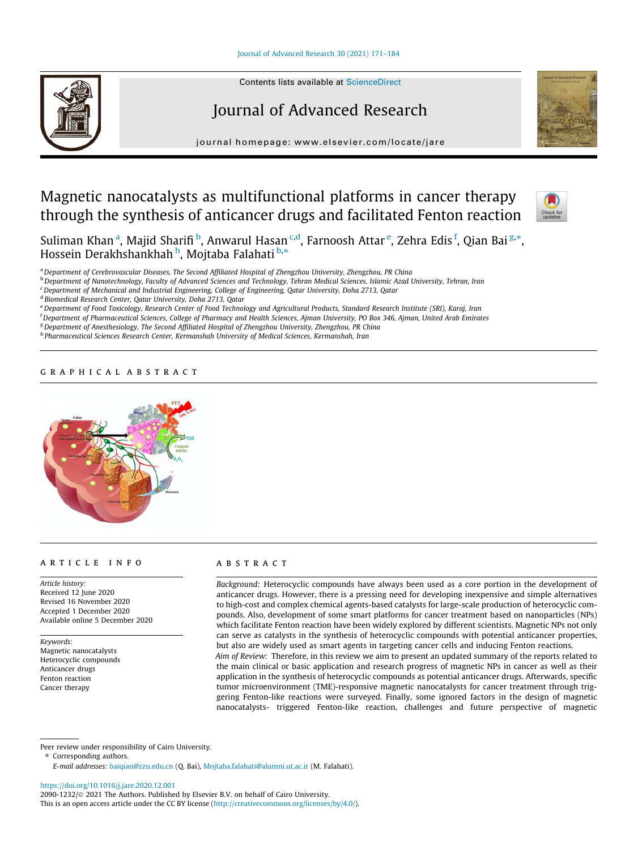# Journal of Advanced Research 30 (2021) 171–184



Contents lists available at ScienceDirect

# Journal of Advanced Research

journal homepage: www.elsevier.com/locate/jare

# Magnetic nanocatalysts as multifunctional platforms in cancer therapy through the synthesis of anticancer drugs and facilitated Fenton reaction



Suliman Khan <sup>a</sup>, Majid Sharifi <sup>b</sup>, Anwarul Hasan <sup>c,d</sup>, Farnoosh Attar <sup>e</sup>, Zehra Edis <sup>f</sup>, Qian Bai <sup>g,</sup>\*, **Bahman Khan , Majla Shahn , miwarai nasah**<br>Hossein Derakhshankhah <sup>h</sup>, Mojtaba Falahati <sup>b,\*</sup>

<sup>a</sup>*Department of Cerebrovascular Diseases, The Second Affiliated Hospital of Zhengzhou University, Zhengzhou, PR China*

<sup>b</sup>*Department of Nanotechnology, Faculty of Advanced Sciences and Technology, Tehran Medical Sciences, Islamic Azad University, Tehran, Iran*

<sup>c</sup>*Department of Mechanical and Industrial Engineering, College of Engineering, Qatar University, Doha 2713, Qatar*

d *Biomedical Research Center, Qatar University, Doha 2713, Qatar*

<sup>e</sup>*Department of Food Toxicology, Research Center of Food Technology and Agricultural Products, Standard Research Institute (SRI), Karaj, Iran*

<sup>f</sup>*Department of Pharmaceutical Sciences, College of Pharmacy and Health Sciences, Ajman University, PO Box 346, Ajman, United Arab Emirates*

<sup>g</sup>*Department of Anesthesiology, The Second Affiliated Hospital of Zhengzhou University, Zhengzhou, PR China*

h *Pharmaceutical Sciences Research Center, Kermanshah University of Medical Sciences, Kermanshah, Iran*

# graphical abstract



# article info

*Article history:* Received 12 June 2020 Revised 16 November 2020 Accepted 1 December 2020 Available online 5 December 2020

*Keywords:* Magnetic nanocatalysts Heterocyclic compounds Anticancer drugs Fenton reaction Cancer therapy

# **ABSTRACT**

*Background:* Heterocyclic compounds have always been used as a core portion in the development of anticancer drugs. However, there is a pressing need for developing inexpensive and simple alternatives to high-cost and complex chemical agents-based catalysts for large-scale production of heterocyclic compounds. Also, development of some smart platforms for cancer treatment based on nanoparticles (NPs) which facilitate Fenton reaction have been widely explored by different scientists. Magnetic NPs not only can serve as catalysts in the synthesis of heterocyclic compounds with potential anticancer properties, but also are widely used as smart agents in targeting cancer cells and inducing Fenton reactions. *Aim of Review:* Therefore, in this review we aim to present an updated summary of the reports related to the main clinical or basic application and research progress of magnetic NPs in cancer as well as their application in the synthesis of heterocyclic compounds as potential anticancer drugs. Afterwards, specific tumor microenvironment (TME)-responsive magnetic nanocatalysts for cancer treatment through triggering Fenton-like reactions were surveyed. Finally, some ignored factors in the design of magnetic nanocatalysts- triggered Fenton-like reaction, challenges and future perspective of magnetic

Peer review under responsibility of Cairo University.

⇑ Corresponding authors.

*E-mail addresses:* baiqian@zzu.edu.cn (Q. Bai), Mojtaba.falahati@alumni.ut.ac.ir (M. Falahati).

https://doi.org/10.1016/j.jare.2020.12.001

2090-1232/ 2021 The Authors. Published by Elsevier B.V. on behalf of Cairo University. This is an open access article under the CC BY license (http://creativecommons.org/licenses/by/4.0/).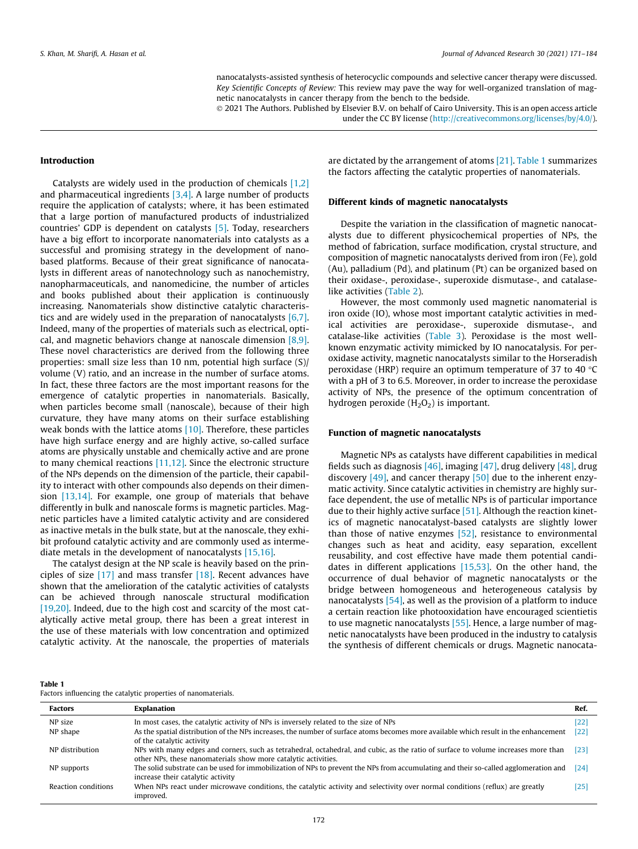nanocatalysts-assisted synthesis of heterocyclic compounds and selective cancer therapy were discussed. *Key Scientific Concepts of Review:* This review may pave the way for well-organized translation of magnetic nanocatalysts in cancer therapy from the bench to the bedside.

2021 The Authors. Published by Elsevier B.V. on behalf of Cairo University. This is an open access article

under the CC BY license (http://creativecommons.org/licenses/by/4.0/).

### Introduction

Catalysts are widely used in the production of chemicals [1,2] and pharmaceutical ingredients  $[3,4]$ . A large number of products require the application of catalysts; where, it has been estimated that a large portion of manufactured products of industrialized countries' GDP is dependent on catalysts [5]. Today, researchers have a big effort to incorporate nanomaterials into catalysts as a successful and promising strategy in the development of nanobased platforms. Because of their great significance of nanocatalysts in different areas of nanotechnology such as nanochemistry, nanopharmaceuticals, and nanomedicine, the number of articles and books published about their application is continuously increasing. Nanomaterials show distinctive catalytic characteristics and are widely used in the preparation of nanocatalysts [6,7]. Indeed, many of the properties of materials such as electrical, optical, and magnetic behaviors change at nanoscale dimension [8,9]. These novel characteristics are derived from the following three properties: small size less than 10 nm, potential high surface (S)/ volume (V) ratio, and an increase in the number of surface atoms. In fact, these three factors are the most important reasons for the emergence of catalytic properties in nanomaterials. Basically, when particles become small (nanoscale), because of their high curvature, they have many atoms on their surface establishing weak bonds with the lattice atoms  $[10]$ . Therefore, these particles have high surface energy and are highly active, so-called surface atoms are physically unstable and chemically active and are prone to many chemical reactions [11,12]. Since the electronic structure of the NPs depends on the dimension of the particle, their capability to interact with other compounds also depends on their dimension  $[13,14]$ . For example, one group of materials that behave differently in bulk and nanoscale forms is magnetic particles. Magnetic particles have a limited catalytic activity and are considered as inactive metals in the bulk state, but at the nanoscale, they exhibit profound catalytic activity and are commonly used as intermediate metals in the development of nanocatalysts [15,16].

The catalyst design at the NP scale is heavily based on the principles of size [17] and mass transfer [18]. Recent advances have shown that the amelioration of the catalytic activities of catalysts can be achieved through nanoscale structural modification [19,20]. Indeed, due to the high cost and scarcity of the most catalytically active metal group, there has been a great interest in the use of these materials with low concentration and optimized catalytic activity. At the nanoscale, the properties of materials are dictated by the arrangement of atoms [21]. Table 1 summarizes the factors affecting the catalytic properties of nanomaterials.

### Different kinds of magnetic nanocatalysts

Despite the variation in the classification of magnetic nanocatalysts due to different physicochemical properties of NPs, the method of fabrication, surface modification, crystal structure, and composition of magnetic nanocatalysts derived from iron (Fe), gold (Au), palladium (Pd), and platinum (Pt) can be organized based on their oxidase-, peroxidase-, superoxide dismutase-, and catalaselike activities (Table 2).

However, the most commonly used magnetic nanomaterial is iron oxide (IO), whose most important catalytic activities in medical activities are peroxidase-, superoxide dismutase-, and catalase-like activities (Table 3). Peroxidase is the most wellknown enzymatic activity mimicked by IO nanocatalysis. For peroxidase activity, magnetic nanocatalysts similar to the Horseradish peroxidase (HRP) require an optimum temperature of 37 to 40  $\degree$ C with a pH of 3 to 6.5. Moreover, in order to increase the peroxidase activity of NPs, the presence of the optimum concentration of hydrogen peroxide  $(H_2O_2)$  is important.

#### Function of magnetic nanocatalysts

Magnetic NPs as catalysts have different capabilities in medical fields such as diagnosis [46], imaging [47], drug delivery [48], drug discovery  $[49]$ , and cancer therapy  $[50]$  due to the inherent enzymatic activity. Since catalytic activities in chemistry are highly surface dependent, the use of metallic NPs is of particular importance due to their highly active surface  $[51]$ . Although the reaction kinetics of magnetic nanocatalyst-based catalysts are slightly lower than those of native enzymes [52], resistance to environmental changes such as heat and acidity, easy separation, excellent reusability, and cost effective have made them potential candidates in different applications [15,53]. On the other hand, the occurrence of dual behavior of magnetic nanocatalysts or the bridge between homogeneous and heterogeneous catalysis by nanocatalysts [54], as well as the provision of a platform to induce a certain reaction like photooxidation have encouraged scientietis to use magnetic nanocatalysts [55]. Hence, a large number of magnetic nanocatalysts have been produced in the industry to catalysis the synthesis of different chemicals or drugs. Magnetic nanocata-

| וחו<br>э. |  |
|-----------|--|
|           |  |

| Factors influencing the catalytic properties of nanomaterials. |  |
|----------------------------------------------------------------|--|
|----------------------------------------------------------------|--|

| <b>Factors</b>      | Explanation                                                                                                                                                                                          | Ref. |
|---------------------|------------------------------------------------------------------------------------------------------------------------------------------------------------------------------------------------------|------|
| NP size             | In most cases, the catalytic activity of NPs is inversely related to the size of NPs                                                                                                                 | 22   |
| NP shape            | As the spatial distribution of the NPs increases, the number of surface atoms becomes more available which result in the enhancement<br>of the catalytic activity                                    | 122  |
| NP distribution     | NPs with many edges and corners, such as tetrahedral, octahedral, and cubic, as the ratio of surface to volume increases more than<br>other NPs, these nanomaterials show more catalytic activities. | [23  |
| NP supports         | The solid substrate can be used for immobilization of NPs to prevent the NPs from accumulating and their so-called agglomeration and<br>increase their catalytic activity                            | [24] |
| Reaction conditions | When NPs react under microwave conditions, the catalytic activity and selectivity over normal conditions (reflux) are greatly<br>improved.                                                           | '25  |
|                     |                                                                                                                                                                                                      |      |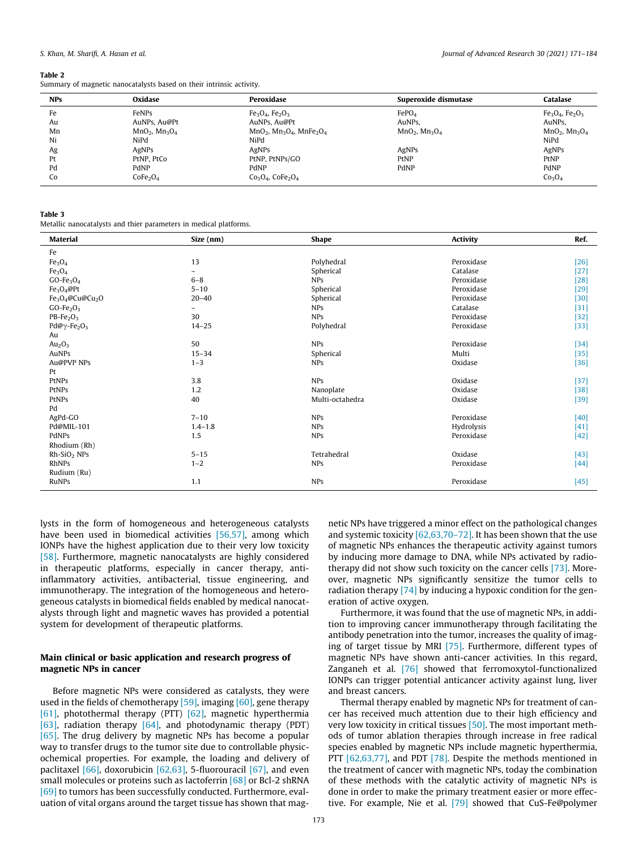#### Table 2

Summary of magnetic nanocatalysts based on their intrinsic activity.

| <b>NPs</b> | Oxidase                          | Peroxidase                   | Superoxide dismutase | Catalase                       |
|------------|----------------------------------|------------------------------|----------------------|--------------------------------|
| Fe         | FeNPs                            | $Fe3O4$ , $Fe2O3$            | FePO <sub>4</sub>    | $Fe3O4$ , $Fe2O3$              |
| Au         | AuNPs, Au@Pt                     | AuNPs, Au@Pt                 | AuNPs.               | AuNPs.                         |
| Mn         | $MnO2$ , $Mn3O4$                 | $MnO2$ , $Mn3O4$ , $MnFe2O4$ | $MnO2$ , $Mn3O4$     | $MnO2$ , $Mn3O4$               |
| Ni         | NiPd                             | NiPd                         |                      | NiPd                           |
| Ag         | AgNPs                            | AgNPs                        | AgNPs                | AgNPs                          |
| Pt         | PtNP. PtCo                       | PtNP, PtNPs/GO               | PtNP                 | PtNP                           |
| Pd         | PdNP                             | PdNP                         | PdNP                 | PdNP                           |
| Co         | CoFe <sub>2</sub> O <sub>4</sub> | $Co3O4$ , $CoFe2O4$          |                      | Co <sub>3</sub> O <sub>4</sub> |
|            |                                  |                              |                      |                                |

#### Table 3

Metallic nanocatalysts and thier parameters in medical platforms.

| Material                                             | Size (nm)   | <b>Shape</b>    | <b>Activity</b> | Ref.   |
|------------------------------------------------------|-------------|-----------------|-----------------|--------|
| Fe                                                   |             |                 |                 |        |
| Fe <sub>3</sub> O <sub>4</sub>                       | 13          | Polyhedral      | Peroxidase      | $[26]$ |
| Fe <sub>3</sub> O <sub>4</sub>                       | -           | Spherical       | Catalase        | $[27]$ |
| $GO-Fe3O4$                                           | $6 - 8$     | <b>NPs</b>      | Peroxidase      | $[28]$ |
| $Fe3O4$ @Pt                                          | $5 - 10$    | Spherical       | Peroxidase      | $[29]$ |
| Fe <sub>3</sub> O <sub>4</sub> @Cu@Cu <sub>2</sub> O | $20 - 40$   | Spherical       | Peroxidase      | $[30]$ |
| $GO-Fe2O3$                                           | -           | <b>NPs</b>      | Catalase        | $[31]$ |
| $PB-Fe2O3$                                           | 30          | <b>NPs</b>      | Peroxidase      | $[32]$ |
| Pd@ $\gamma$ -Fe <sub>2</sub> O <sub>3</sub>         | $14 - 25$   | Polyhedral      | Peroxidase      | $[33]$ |
| Au                                                   |             |                 |                 |        |
| Au <sub>2</sub> O <sub>3</sub>                       | 50          | <b>NPs</b>      | Peroxidase      | $[34]$ |
| AuNPs                                                | $15 - 34$   | Spherical       | Multi           | $[35]$ |
| Au@PVP NPs                                           | $1 - 3$     | <b>NPs</b>      | Oxidase         | $[36]$ |
| Pt                                                   |             |                 |                 |        |
| PtNPs                                                | 3.8         | <b>NPs</b>      | Oxidase         | $[37]$ |
| PtNPs                                                | 1.2         | Nanoplate       | Oxidase         | $[38]$ |
| PtNPs                                                | 40          | Multi-octahedra | Oxidase         | $[39]$ |
| Pd                                                   |             |                 |                 |        |
| AgPd-GO                                              | $7 - 10$    | <b>NPs</b>      | Peroxidase      | $[40]$ |
| Pd@MIL-101                                           | $1.4 - 1.8$ | <b>NPs</b>      | Hydrolysis      | $[41]$ |
| PdNPs                                                | 1.5         | <b>NPs</b>      | Peroxidase      | $[42]$ |
| Rhodium (Rh)                                         |             |                 |                 |        |
| $Rh-SiO2 NPs$                                        | $5 - 15$    | Tetrahedral     | Oxidase         | $[43]$ |
| RhNPs                                                | $1 - 2$     | <b>NPs</b>      | Peroxidase      | $[44]$ |
| Rudium (Ru)                                          |             |                 |                 |        |
| RuNPs                                                | 1.1         | NPs             | Peroxidase      | $[45]$ |

lysts in the form of homogeneous and heterogeneous catalysts have been used in biomedical activities [56,57], among which IONPs have the highest application due to their very low toxicity [58]. Furthermore, magnetic nanocatalysts are highly considered in therapeutic platforms, especially in cancer therapy, antiinflammatory activities, antibacterial, tissue engineering, and immunotherapy. The integration of the homogeneous and heterogeneous catalysts in biomedical fields enabled by medical nanocatalysts through light and magnetic waves has provided a potential system for development of therapeutic platforms.

# Main clinical or basic application and research progress of magnetic NPs in cancer

Before magnetic NPs were considered as catalysts, they were used in the fields of chemotherapy  $[59]$ , imaging  $[60]$ , gene therapy [61], photothermal therapy (PTT) [62], magnetic hyperthermia [63], radiation therapy [64], and photodynamic therapy (PDT) [65]. The drug delivery by magnetic NPs has become a popular way to transfer drugs to the tumor site due to controllable physicochemical properties. For example, the loading and delivery of paclitaxel  $[66]$ , doxorubicin  $[62,63]$ , 5-fluorouracil  $[67]$ , and even small molecules or proteins such as lactoferrin [68] or Bcl-2 shRNA [69] to tumors has been successfully conducted. Furthermore, evaluation of vital organs around the target tissue has shown that mag-

netic NPs have triggered a minor effect on the pathological changes and systemic toxicity [62,63,70–72]. It has been shown that the use of magnetic NPs enhances the therapeutic activity against tumors by inducing more damage to DNA, while NPs activated by radiotherapy did not show such toxicity on the cancer cells [73]. Moreover, magnetic NPs significantly sensitize the tumor cells to radiation therapy [74] by inducing a hypoxic condition for the generation of active oxygen.

Furthermore, it was found that the use of magnetic NPs, in addition to improving cancer immunotherapy through facilitating the antibody penetration into the tumor, increases the quality of imaging of target tissue by MRI [75]. Furthermore, different types of magnetic NPs have shown anti-cancer activities. In this regard, Zanganeh et al. [76] showed that ferromoxytol-functionalized IONPs can trigger potential anticancer activity against lung, liver and breast cancers.

Thermal therapy enabled by magnetic NPs for treatment of cancer has received much attention due to their high efficiency and very low toxicity in critical tissues [50]. The most important methods of tumor ablation therapies through increase in free radical species enabled by magnetic NPs include magnetic hyperthermia, PTT [62,63,77], and PDT [78]. Despite the methods mentioned in the treatment of cancer with magnetic NPs, today the combination of these methods with the catalytic activity of magnetic NPs is done in order to make the primary treatment easier or more effective. For example, Nie et al. [79] showed that CuS-Fe@polymer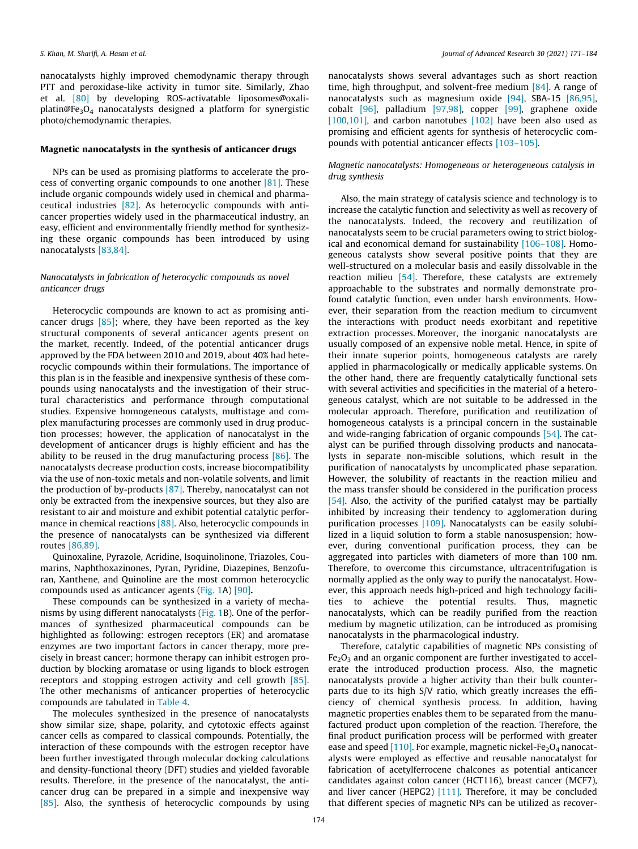nanocatalysts highly improved chemodynamic therapy through PTT and peroxidase-like activity in tumor site. Similarly, Zhao et al. [80] by developing ROS-activatable liposomes@oxaliplatin@Fe<sub>3</sub>O<sub>4</sub> nanocatalysts designed a platform for synergistic photo/chemodynamic therapies.

### Magnetic nanocatalysts in the synthesis of anticancer drugs

NPs can be used as promising platforms to accelerate the process of converting organic compounds to one another [81]. These include organic compounds widely used in chemical and pharmaceutical industries [82]. As heterocyclic compounds with anticancer properties widely used in the pharmaceutical industry, an easy, efficient and environmentally friendly method for synthesizing these organic compounds has been introduced by using nanocatalysts [83,84].

# *Nanocatalysts in fabrication of heterocyclic compounds as novel anticancer drugs*

Heterocyclic compounds are known to act as promising anticancer drugs  $[85]$ ; where, they have been reported as the key structural components of several anticancer agents present on the market, recently. Indeed, of the potential anticancer drugs approved by the FDA between 2010 and 2019, about 40% had heterocyclic compounds within their formulations. The importance of this plan is in the feasible and inexpensive synthesis of these compounds using nanocatalysts and the investigation of their structural characteristics and performance through computational studies. Expensive homogeneous catalysts, multistage and complex manufacturing processes are commonly used in drug production processes; however, the application of nanocatalyst in the development of anticancer drugs is highly efficient and has the ability to be reused in the drug manufacturing process  $[86]$ . The nanocatalysts decrease production costs, increase biocompatibility via the use of non-toxic metals and non-volatile solvents, and limit the production of by-products [87]. Thereby, nanocatalyst can not only be extracted from the inexpensive sources, but they also are resistant to air and moisture and exhibit potential catalytic performance in chemical reactions [88]. Also, heterocyclic compounds in the presence of nanocatalysts can be synthesized via different routes [86,89].

Quinoxaline, Pyrazole, Acridine, Isoquinolinone, Triazoles, Coumarins, Naphthoxazinones, Pyran, Pyridine, Diazepines, Benzofuran, Xanthene, and Quinoline are the most common heterocyclic compounds used as anticancer agents (Fig. 1A) [90].

These compounds can be synthesized in a variety of mechanisms by using different nanocatalysts (Fig. 1B). One of the performances of synthesized pharmaceutical compounds can be highlighted as following: estrogen receptors (ER) and aromatase enzymes are two important factors in cancer therapy, more precisely in breast cancer; hormone therapy can inhibit estrogen production by blocking aromatase or using ligands to block estrogen receptors and stopping estrogen activity and cell growth [85]. The other mechanisms of anticancer properties of heterocyclic compounds are tabulated in Table 4.

The molecules synthesized in the presence of nanocatalysts show similar size, shape, polarity, and cytotoxic effects against cancer cells as compared to classical compounds. Potentially, the interaction of these compounds with the estrogen receptor have been further investigated through molecular docking calculations and density-functional theory (DFT) studies and yielded favorable results. Therefore, in the presence of the nanocatalyst, the anticancer drug can be prepared in a simple and inexpensive way [85]. Also, the synthesis of heterocyclic compounds by using nanocatalysts shows several advantages such as short reaction time, high throughput, and solvent-free medium [84]. A range of nanocatalysts such as magnesium oxide [94], SBA-15 [86,95], cobalt [96], palladium [97,98], copper [99], graphene oxide [100,101], and carbon nanotubes [102] have been also used as promising and efficient agents for synthesis of heterocyclic compounds with potential anticancer effects [103–105].

## *Magnetic nanocatalysts: Homogeneous or heterogeneous catalysis in drug synthesis*

Also, the main strategy of catalysis science and technology is to increase the catalytic function and selectivity as well as recovery of the nanocatalysts. Indeed, the recovery and reutilization of nanocatalysts seem to be crucial parameters owing to strict biological and economical demand for sustainability [106–108]. Homogeneous catalysts show several positive points that they are well-structured on a molecular basis and easily dissolvable in the reaction milieu [54]. Therefore, these catalysts are extremely approachable to the substrates and normally demonstrate profound catalytic function, even under harsh environments. However, their separation from the reaction medium to circumvent the interactions with product needs exorbitant and repetitive extraction processes. Moreover, the inorganic nanocatalysts are usually composed of an expensive noble metal. Hence, in spite of their innate superior points, homogeneous catalysts are rarely applied in pharmacologically or medically applicable systems. On the other hand, there are frequently catalytically functional sets with several activities and specificities in the material of a heterogeneous catalyst, which are not suitable to be addressed in the molecular approach. Therefore, purification and reutilization of homogeneous catalysts is a principal concern in the sustainable and wide-ranging fabrication of organic compounds [54]. The catalyst can be purified through dissolving products and nanocatalysts in separate non-miscible solutions, which result in the purification of nanocatalysts by uncomplicated phase separation. However, the solubility of reactants in the reaction milieu and the mass transfer should be considered in the purification process [54]. Also, the activity of the purified catalyst may be partially inhibited by increasing their tendency to agglomeration during purification processes [109]. Nanocatalysts can be easily solubilized in a liquid solution to form a stable nanosuspension; however, during conventional purification process, they can be aggregated into particles with diameters of more than 100 nm. Therefore, to overcome this circumstance, ultracentrifugation is normally applied as the only way to purify the nanocatalyst. However, this approach needs high-priced and high technology facilities to achieve the potential results. Thus, magnetic nanocatalysts, which can be readily purified from the reaction medium by magnetic utilization, can be introduced as promising nanocatalysts in the pharmacological industry.

Therefore, catalytic capabilities of magnetic NPs consisting of  $Fe<sub>2</sub>O<sub>3</sub>$  and an organic component are further investigated to accelerate the introduced production process. Also, the magnetic nanocatalysts provide a higher activity than their bulk counterparts due to its high S/V ratio, which greatly increases the efficiency of chemical synthesis process. In addition, having magnetic properties enables them to be separated from the manufactured product upon completion of the reaction. Therefore, the final product purification process will be performed with greater ease and speed  $[110]$ . For example, magnetic nickel-Fe<sub>2</sub>O<sub>4</sub> nanocatalysts were employed as effective and reusable nanocatalyst for fabrication of acetylferrocene chalcones as potential anticancer candidates against colon cancer (HCT116), breast cancer (MCF7), and liver cancer (HEPG2) [111]. Therefore, it may be concluded that different species of magnetic NPs can be utilized as recover-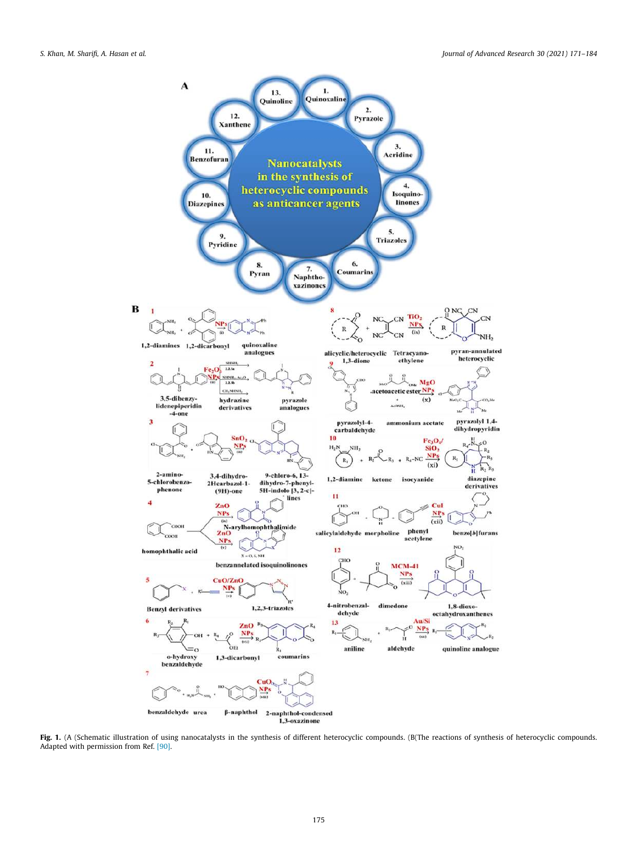

Fig. 1. (A (Schematic illustration of using nanocatalysts in the synthesis of different heterocyclic compounds. (B(The reactions of synthesis of heterocyclic compounds. Adapted with permission from Ref. [90].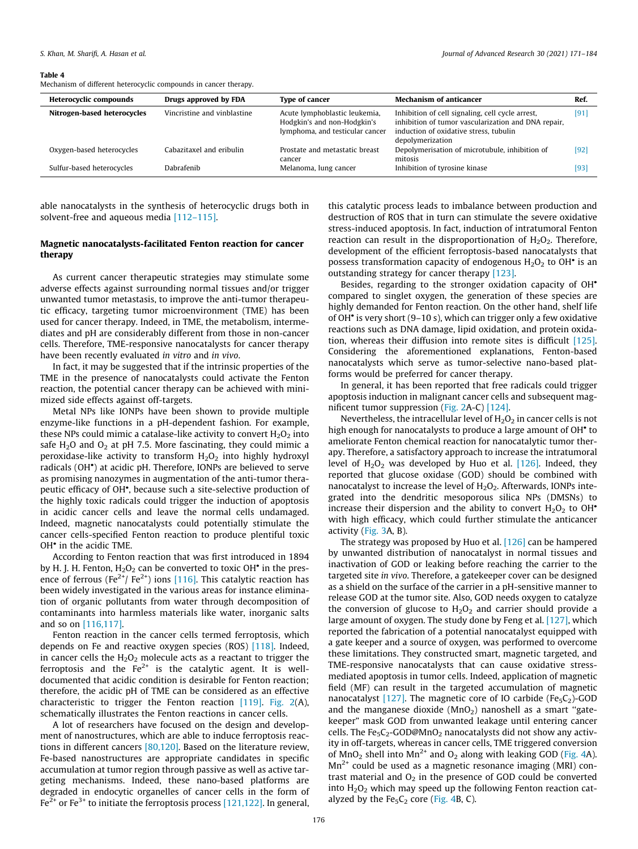#### Table 4

Mechanism of different heterocyclic compounds in cancer therapy.

| <b>Heterocyclic compounds</b> | Drugs approved by FDA       | <b>Type of cancer</b>                                                                           | <b>Mechanism of anticancer</b>                                                                                                                                        | Ref. |
|-------------------------------|-----------------------------|-------------------------------------------------------------------------------------------------|-----------------------------------------------------------------------------------------------------------------------------------------------------------------------|------|
| Nitrogen-based heterocycles   | Vincristine and vinblastine | Acute lymphoblastic leukemia,<br>Hodgkin's and non-Hodgkin's<br>lymphoma, and testicular cancer | Inhibition of cell signaling, cell cycle arrest,<br>inhibition of tumor vascularization and DNA repair,<br>induction of oxidative stress, tubulin<br>depolymerization | [91] |
| Oxygen-based heterocycles     | Cabazitaxel and eribulin    | Prostate and metastatic breast<br>cancer                                                        | Depolymerisation of microtubule, inhibition of<br>mitosis                                                                                                             | [92] |
| Sulfur-based heterocycles     | Dabrafenib                  | Melanoma, lung cancer                                                                           | Inhibition of tyrosine kinase                                                                                                                                         | [93  |

able nanocatalysts in the synthesis of heterocyclic drugs both in solvent-free and aqueous media [112-115].

# Magnetic nanocatalysts-facilitated Fenton reaction for cancer therapy

As current cancer therapeutic strategies may stimulate some adverse effects against surrounding normal tissues and/or trigger unwanted tumor metastasis, to improve the anti-tumor therapeutic efficacy, targeting tumor microenvironment (TME) has been used for cancer therapy. Indeed, in TME, the metabolism, intermediates and pH are considerably different from those in non-cancer cells. Therefore, TME-responsive nanocatalysts for cancer therapy have been recently evaluated *in vitro* and *in vivo*.

In fact, it may be suggested that if the intrinsic properties of the TME in the presence of nanocatalysts could activate the Fenton reaction, the potential cancer therapy can be achieved with minimized side effects against off-targets.

Metal NPs like IONPs have been shown to provide multiple enzyme-like functions in a pH-dependent fashion. For example, these NPs could mimic a catalase-like activity to convert  $H_2O_2$  into safe  $H_2O$  and  $O_2$  at pH 7.5. More fascinating, they could mimic a peroxidase-like activity to transform  $H_2O_2$  into highly hydroxyl radicals (OH ) at acidic pH. Therefore, IONPs are believed to serve as promising nanozymes in augmentation of the anti-tumor therapeutic efficacy of OH<sup>\*</sup>, because such a site-selective production of the highly toxic radicals could trigger the induction of apoptosis in acidic cancer cells and leave the normal cells undamaged. Indeed, magnetic nanocatalysts could potentially stimulate the cancer cells-specified Fenton reaction to produce plentiful toxic OH<sup>\*</sup> in the acidic TME.

According to Fenton reaction that was first introduced in 1894 by H. J. H. Fenton,  $H_2O_2$  can be converted to toxic OH $^{\bullet}$  in the presence of ferrous (Fe<sup>2+</sup>/ Fe<sup>2+</sup>) ions [116]. This catalytic reaction has been widely investigated in the various areas for instance elimination of organic pollutants from water through decomposition of contaminants into harmless materials like water, inorganic salts and so on [116,117].

Fenton reaction in the cancer cells termed ferroptosis, which depends on Fe and reactive oxygen species (ROS) [118]. Indeed, in cancer cells the  $H_2O_2$  molecule acts as a reactant to trigger the ferroptosis and the  $Fe^{2+}$  is the catalytic agent. It is welldocumented that acidic condition is desirable for Fenton reaction; therefore, the acidic pH of TME can be considered as an effective characteristic to trigger the Fenton reaction [119]. Fig. 2(A), schematically illustrates the Fenton reactions in cancer cells.

A lot of researchers have focused on the design and development of nanostructures, which are able to induce ferroptosis reactions in different cancers [80,120]. Based on the literature review, Fe-based nanostructures are appropriate candidates in specific accumulation at tumor region through passive as well as active targeting mechanisms. Indeed, these nano-based platforms are degraded in endocytic organelles of cancer cells in the form of  $Fe<sup>2+</sup>$  or Fe<sup>3+</sup> to initiate the ferroptosis process [121,122]. In general,

this catalytic process leads to imbalance between production and destruction of ROS that in turn can stimulate the severe oxidative stress-induced apoptosis. In fact, induction of intratumoral Fenton reaction can result in the disproportionation of  $H_2O_2$ . Therefore, development of the efficient ferroptosis-based nanocatalysts that possess transformation capacity of endogenous  $H_2O_2$  to  $OH<sup>•</sup>$  is an outstanding strategy for cancer therapy [123].

Besides, regarding to the stronger oxidation capacity of OH<sup>\*</sup> compared to singlet oxygen, the generation of these species are highly demanded for Fenton reaction. On the other hand, shelf life of OH<sup>•</sup> is very short (9-10 s), which can trigger only a few oxidative reactions such as DNA damage, lipid oxidation, and protein oxidation, whereas their diffusion into remote sites is difficult [125]. Considering the aforementioned explanations, Fenton-based nanocatalysts which serve as tumor-selective nano-based platforms would be preferred for cancer therapy.

In general, it has been reported that free radicals could trigger apoptosis induction in malignant cancer cells and subsequent magnificent tumor suppression (Fig. 2A-C) [124].

Nevertheless, the intracellular level of  $H_2O_2$  in cancer cells is not high enough for nanocatalysts to produce a large amount of OH<sup>•</sup> to ameliorate Fenton chemical reaction for nanocatalytic tumor therapy. Therefore, a satisfactory approach to increase the intratumoral level of  $H_2O_2$  was developed by Huo et al. [126]. Indeed, they reported that glucose oxidase (GOD) should be combined with nanocatalyst to increase the level of  $H_2O_2$ . Afterwards, IONPs integrated into the dendritic mesoporous silica NPs (DMSNs) to increase their dispersion and the ability to convert  $H_2O_2$  to OH<sup>\*</sup> with high efficacy, which could further stimulate the anticancer activity (Fig. 3A, B).

The strategy was proposed by Huo et al. [126] can be hampered by unwanted distribution of nanocatalyst in normal tissues and inactivation of GOD or leaking before reaching the carrier to the targeted site *in vivo*. Therefore, a gatekeeper cover can be designed as a shield on the surface of the carrier in a pH-sensitive manner to release GOD at the tumor site. Also, GOD needs oxygen to catalyze the conversion of glucose to  $H_2O_2$  and carrier should provide a large amount of oxygen. The study done by Feng et al. [127], which reported the fabrication of a potential nanocatalyst equipped with a gate keeper and a source of oxygen, was performed to overcome these limitations. They constructed smart, magnetic targeted, and TME-responsive nanocatalysts that can cause oxidative stressmediated apoptosis in tumor cells. Indeed, application of magnetic field (MF) can result in the targeted accumulation of magnetic nanocatalyst  $[127]$ . The magnetic core of IO carbide (Fe<sub>5</sub>C<sub>2</sub>)-GOD and the manganese dioxide ( $MnO<sub>2</sub>$ ) nanoshell as a smart "gatekeeper" mask GOD from unwanted leakage until entering cancer cells. The Fe<sub>5</sub>C<sub>2</sub>-GOD@MnO<sub>2</sub> nanocatalysts did not show any activity in off-targets, whereas in cancer cells, TME triggered conversion of MnO<sub>2</sub> shell into Mn<sup>2+</sup> and O<sub>2</sub> along with leaking GOD (Fig. 4A).  $Mn^{2+}$  could be used as a magnetic resonance imaging (MRI) contrast material and  $O<sub>2</sub>$  in the presence of GOD could be converted into  $H_2O_2$  which may speed up the following Fenton reaction catalyzed by the  $Fe<sub>5</sub>C<sub>2</sub>$  core (Fig. 4B, C).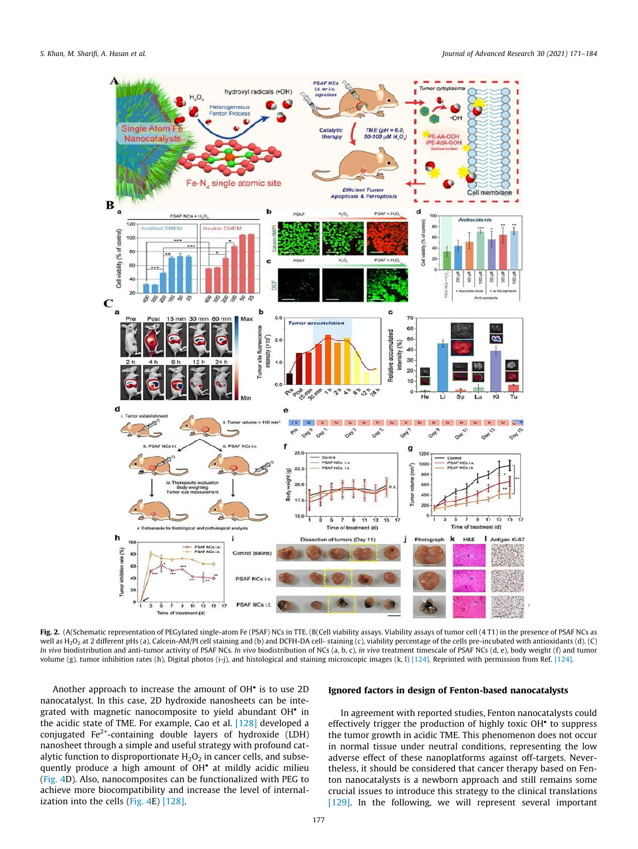

Fig. 2. (A(Schematic representation of PEGylated single-atom Fe (PSAF) NCs in TTE. (B(Cell viability assays. Viability assays of tumor cell (4 T1) in the presence of PSAF NCs as well as H<sub>2</sub>O<sub>2</sub> at 2 different pHs (a), Calcein-AM/PI cell staining and (b) and DCFH-DA cell- staining (c), viability percentage of the cells pre-incubated with antioxidants (d). (C) *In vivo* biodistribution and anti-tumor activity of PSAF NCs. *In vivo* biodistribution of NCs (a, b, c), *in vivo* treatment timescale of PSAF NCs (d, e), body weight (f) and tumor volume (g). tumor inhibition rates (h), Digital photos (i-j), and histological and staining microscopic images (k, l) [124]. Reprinted with permission from Ref. [124].

Another approach to increase the amount of OH<sup>•</sup> is to use 2D nanocatalyst. In this case, 2D hydroxide nanosheets can be integrated with magnetic nanocomposite to yield abundant OH in the acidic state of TME. For example, Cao et al. [128] developed a conjugated Fe<sup>2+</sup>-containing double layers of hydroxide (LDH) nanosheet through a simple and useful strategy with profound catalytic function to disproportionate  $H_2O_2$  in cancer cells, and subsequently produce a high amount of OH<sup>\*</sup> at mildly acidic milieu (Fig. 4D). Also, nanocomposites can be functionalized with PEG to achieve more biocompatibility and increase the level of internalization into the cells (Fig. 4E) [128].

### Ignored factors in design of Fenton-based nanocatalysts

In agreement with reported studies, Fenton nanocatalysts could effectively trigger the production of highly toxic OH<sup>\*</sup> to suppress the tumor growth in acidic TME. This phenomenon does not occur in normal tissue under neutral conditions, representing the low adverse effect of these nanoplatforms against off-targets. Nevertheless, it should be considered that cancer therapy based on Fenton nanocatalysts is a newborn approach and still remains some crucial issues to introduce this strategy to the clinical translations [129]. In the following, we will represent several important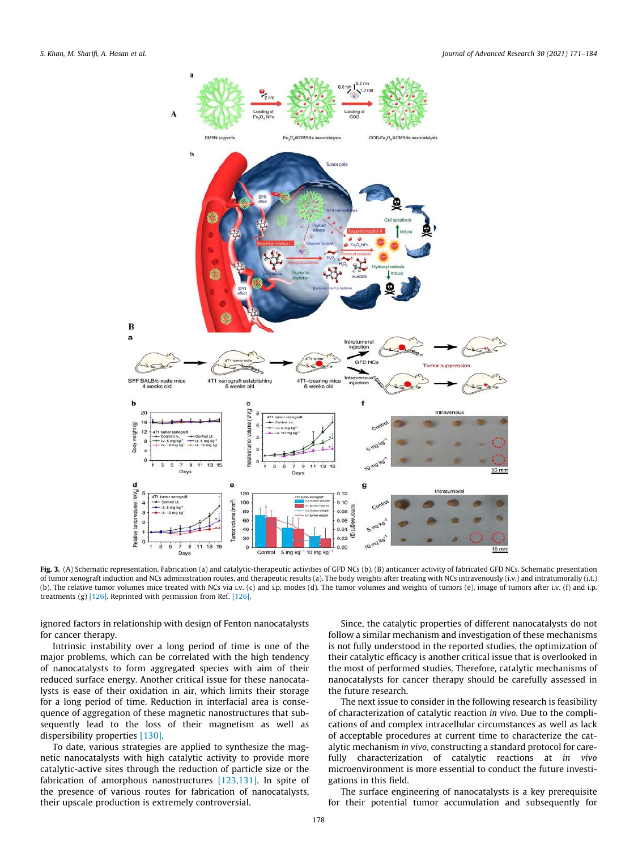

Fig. 3. (A) Schematic representation. Fabrication (a) and catalytic-therapeutic activities of GFD NCs (b). (B) anticancer activity of fabricated GFD NCs. Schematic presentation of tumor xenograft induction and NCs administration routes, and therapeutic results (a). The body weights after treating with NCs intravenously (i.v.) and intratumorally (i.t.) (b), The relative tumor volumes mice treated with NCs via i.v. (c) and i.p. modes (d). The tumor volumes and weights of tumors (e), image of tumors after i.v. (f) and i.p. treatments (g) [126]. Reprinted with permission from Ref. [126].

ignored factors in relationship with design of Fenton nanocatalysts for cancer therapy.

Intrinsic instability over a long period of time is one of the major problems, which can be correlated with the high tendency of nanocatalysts to form aggregated species with aim of their reduced surface energy. Another critical issue for these nanocatalysts is ease of their oxidation in air, which limits their storage for a long period of time. Reduction in interfacial area is consequence of aggregation of these magnetic nanostructures that subsequently lead to the loss of their magnetism as well as dispersibility properties [130].

To date, various strategies are applied to synthesize the magnetic nanocatalysts with high catalytic activity to provide more catalytic-active sites through the reduction of particle size or the fabrication of amorphous nanostructures [123,131]. In spite of the presence of various routes for fabrication of nanocatalysts, their upscale production is extremely controversial.

Since, the catalytic properties of different nanocatalysts do not follow a similar mechanism and investigation of these mechanisms is not fully understood in the reported studies, the optimization of their catalytic efficacy is another critical issue that is overlooked in the most of performed studies. Therefore, catalytic mechanisms of nanocatalysts for cancer therapy should be carefully assessed in the future research.

The next issue to consider in the following research is feasibility of characterization of catalytic reaction *in vivo*. Due to the complications of and complex intracellular circumstances as well as lack of acceptable procedures at current time to characterize the catalytic mechanism *in vivo*, constructing a standard protocol for carefully characterization of catalytic reactions at *in vivo* microenvironment is more essential to conduct the future investigations in this field.

The surface engineering of nanocatalysts is a key prerequisite for their potential tumor accumulation and subsequently for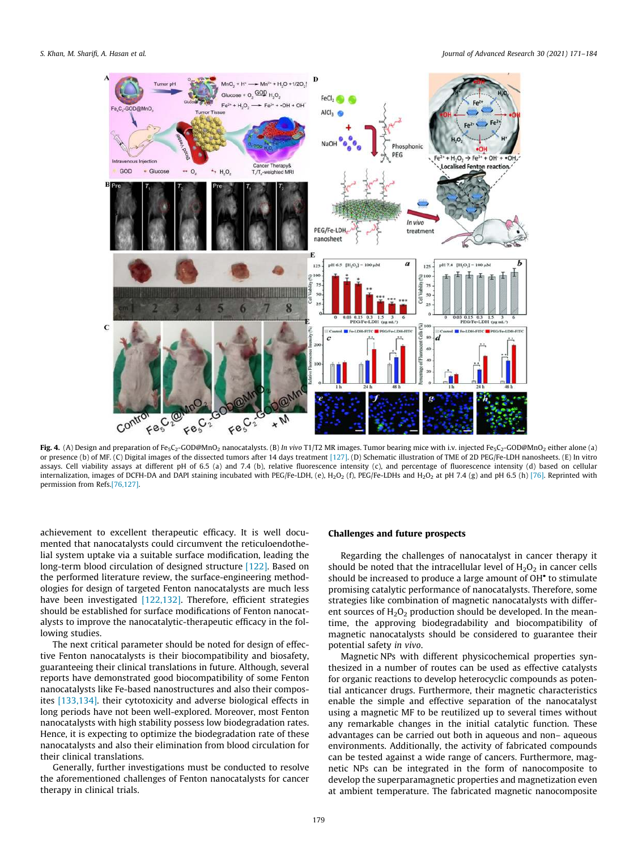

Fig. 4. (A) Design and preparation of Fe<sub>5</sub>C<sub>2</sub>-GOD@MnO<sub>2</sub> nanocatalysts. (B) *In vivo* T1/T2 MR images. Tumor bearing mice with i.v. injected Fe<sub>5</sub>C<sub>2</sub>-GOD@MnO<sub>2</sub> either alone (a) or presence (b) of MF. (C) Digital images of the dissected tumors after 14 days treatment [127]. (D) Schematic illustration of TME of 2D PEG/Fe-LDH nanosheets. (E) In vitro assays. Cell viability assays at different pH of 6.5 (a) and 7.4 (b), relative fluorescence intensity (c), and percentage of fluorescence intensity (d) based on cellular internalization, images of DCFH-DA and DAPI staining incubated with PEG/Fe-LDH, (e), H<sub>2</sub>O<sub>2</sub> (f), PEG/Fe-LDHs and H<sub>2</sub>O<sub>2</sub> at pH 7.4 (g) and pH 6.5 (h) [76]. Reprinted with permission from Refs.[76,127].

achievement to excellent therapeutic efficacy. It is well documented that nanocatalysts could circumvent the reticuloendothelial system uptake via a suitable surface modification, leading the long-term blood circulation of designed structure [122]. Based on the performed literature review, the surface-engineering methodologies for design of targeted Fenton nanocatalysts are much less have been investigated [122,132]. Therefore, efficient strategies should be established for surface modifications of Fenton nanocatalysts to improve the nanocatalytic-therapeutic efficacy in the following studies.

The next critical parameter should be noted for design of effective Fenton nanocatalysts is their biocompatibility and biosafety, guaranteeing their clinical translations in future. Although, several reports have demonstrated good biocompatibility of some Fenton nanocatalysts like Fe-based nanostructures and also their composites [133,134]. their cytotoxicity and adverse biological effects in long periods have not been well-explored. Moreover, most Fenton nanocatalysts with high stability possess low biodegradation rates. Hence, it is expecting to optimize the biodegradation rate of these nanocatalysts and also their elimination from blood circulation for their clinical translations.

Generally, further investigations must be conducted to resolve the aforementioned challenges of Fenton nanocatalysts for cancer therapy in clinical trials.

### Challenges and future prospects

Regarding the challenges of nanocatalyst in cancer therapy it should be noted that the intracellular level of  $H_2O_2$  in cancer cells should be increased to produce a large amount of OH<sup>•</sup> to stimulate promising catalytic performance of nanocatalysts. Therefore, some strategies like combination of magnetic nanocatalysts with different sources of  $H_2O_2$  production should be developed. In the meantime, the approving biodegradability and biocompatibility of magnetic nanocatalysts should be considered to guarantee their potential safety *in vivo*.

Magnetic NPs with different physicochemical properties synthesized in a number of routes can be used as effective catalysts for organic reactions to develop heterocyclic compounds as potential anticancer drugs. Furthermore, their magnetic characteristics enable the simple and effective separation of the nanocatalyst using a magnetic MF to be reutilized up to several times without any remarkable changes in the initial catalytic function. These advantages can be carried out both in aqueous and non– aqueous environments. Additionally, the activity of fabricated compounds can be tested against a wide range of cancers. Furthermore, magnetic NPs can be integrated in the form of nanocomposite to develop the superparamagnetic properties and magnetization even at ambient temperature. The fabricated magnetic nanocomposite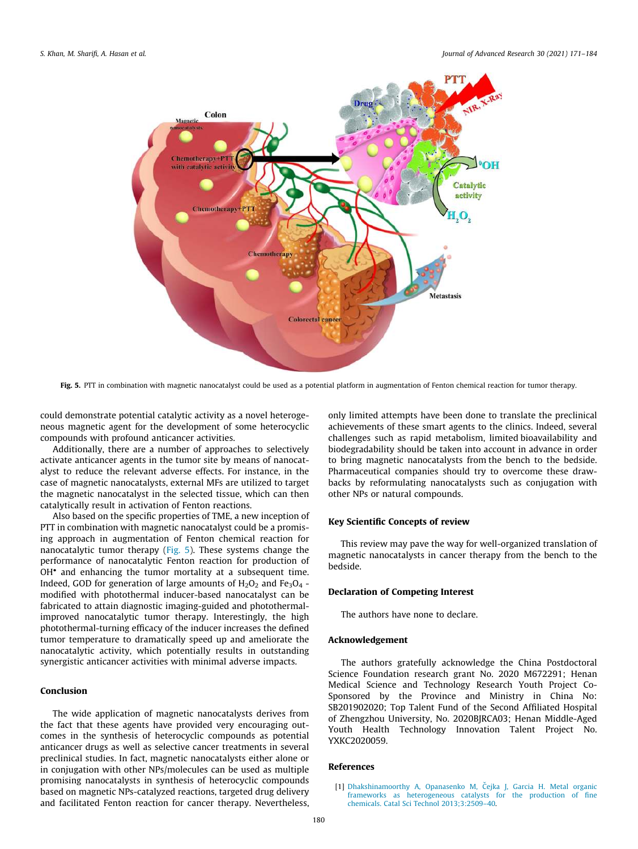

Fig. 5. PTT in combination with magnetic nanocatalyst could be used as a potential platform in augmentation of Fenton chemical reaction for tumor therapy.

could demonstrate potential catalytic activity as a novel heterogeneous magnetic agent for the development of some heterocyclic compounds with profound anticancer activities.

Additionally, there are a number of approaches to selectively activate anticancer agents in the tumor site by means of nanocatalyst to reduce the relevant adverse effects. For instance, in the case of magnetic nanocatalysts, external MFs are utilized to target the magnetic nanocatalyst in the selected tissue, which can then catalytically result in activation of Fenton reactions.

Also based on the specific properties of TME, a new inception of PTT in combination with magnetic nanocatalyst could be a promising approach in augmentation of Fenton chemical reaction for nanocatalytic tumor therapy (Fig. 5). These systems change the performance of nanocatalytic Fenton reaction for production of OH and enhancing the tumor mortality at a subsequent time. Indeed, GOD for generation of large amounts of  $H_2O_2$  and  $Fe_3O_4$  modified with photothermal inducer-based nanocatalyst can be fabricated to attain diagnostic imaging-guided and photothermalimproved nanocatalytic tumor therapy. Interestingly, the high photothermal-turning efficacy of the inducer increases the defined tumor temperature to dramatically speed up and ameliorate the nanocatalytic activity, which potentially results in outstanding synergistic anticancer activities with minimal adverse impacts.

# Conclusion

The wide application of magnetic nanocatalysts derives from the fact that these agents have provided very encouraging outcomes in the synthesis of heterocyclic compounds as potential anticancer drugs as well as selective cancer treatments in several preclinical studies. In fact, magnetic nanocatalysts either alone or in conjugation with other NPs/molecules can be used as multiple promising nanocatalysts in synthesis of heterocyclic compounds based on magnetic NPs-catalyzed reactions, targeted drug delivery and facilitated Fenton reaction for cancer therapy. Nevertheless,

only limited attempts have been done to translate the preclinical achievements of these smart agents to the clinics. Indeed, several challenges such as rapid metabolism, limited bioavailability and biodegradability should be taken into account in advance in order to bring magnetic nanocatalysts from the bench to the bedside. Pharmaceutical companies should try to overcome these drawbacks by reformulating nanocatalysts such as conjugation with other NPs or natural compounds.

# Key Scientific Concepts of review

This review may pave the way for well-organized translation of magnetic nanocatalysts in cancer therapy from the bench to the bedside.

### Declaration of Competing Interest

The authors have none to declare.

## Acknowledgement

The authors gratefully acknowledge the China Postdoctoral Science Foundation research grant No. 2020 M672291; Henan Medical Science and Technology Research Youth Project Co-Sponsored by the Province and Ministry in China No: SB201902020; Top Talent Fund of the Second Affiliated Hospital of Zhengzhou University, No. 2020BJRCA03; Henan Middle-Aged Youth Health Technology Innovation Talent Project No. YXKC2020059.

### References

<sup>[1]</sup> Dhakshinamoorthy A, Opanasenko M, Čejka J, Garcia H. Metal organic frameworks as heterogeneous catalysts for the production of fine chemicals. Catal Sci Technol 2013;3:2509–40.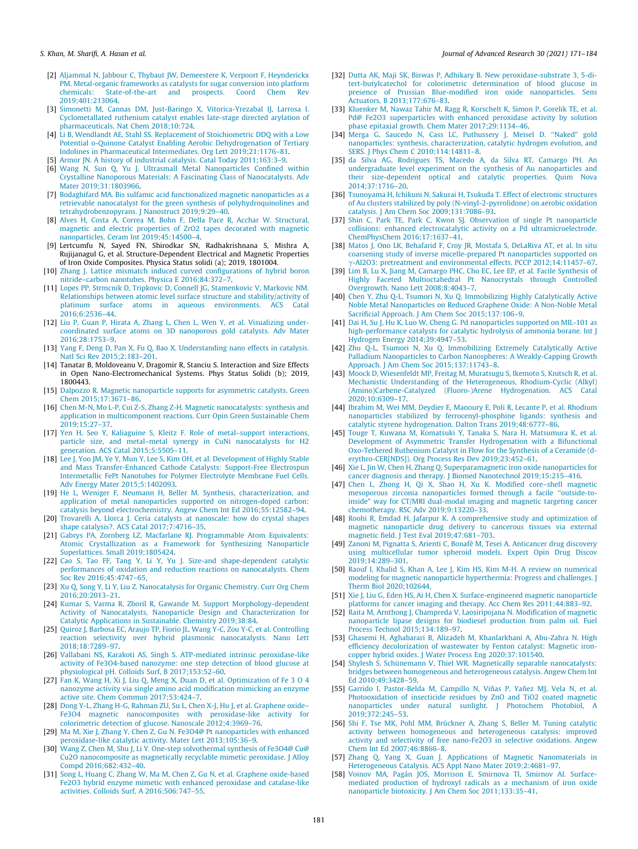- [2] Aljammal N, Jabbour C, Thybaut JW, Demeestere K, Verpoort F, Heynderickx PM. Metal-organic frameworks as catalysts for sugar conversion into platform chemicals: State-of-the-art and prospects. Coord Chem Rev 2019;401:213064.
- [3] Simonetti M, Cannas DM, Just-Baringo X, Vitorica-Yrezabal IJ, Larrosa I. Cyclometallated ruthenium catalyst enables late-stage directed arylation of pharmaceuticals. Nat Chem 2018;10:724.
- [4] Li B, Wendlandt AE, Stahl SS. Replacement of Stoichiometric DDQ with a Low Potential o-Quinone Catalyst Enabling Aerobic Dehydrogenation of Tertiary Indolines in Pharmaceutical Intermediates. Org Lett 2019;21:1176–81.
- [5] Armor JN. A history of industrial catalysis. Catal Today 2011;163:3–9.
- [6] Wang N, Sun Q, Yu J. Ultrasmall Metal Nanoparticles Confined within Crystalline Nanoporous Materials: A Fascinating Class of Nanocatalysts. Adv Mater 2019;31:1803966.
- [7] Bodaghifard MA. Bis sulfamic acid functionalized magnetic nanoparticles as a retrievable nanocatalyst for the green synthesis of polyhydroquinolines and tetrahydrobenzopyrans. J Nanostruct 2019;9:29–40.
- [8] Alves H, Costa A, Correa M, Bohn F, Della Pace R, Acchar W. Structural, magnetic and electric properties of ZrO2 tapes decorated with magnetic nanoparticles. Ceram Int 2019;45:14500–4.
- [9] Lertcumfu N, Sayed FN, Shirodkar SN, Radhakrishnana S, Mishra A, Rujijanagul G, et al. Structure-Dependent Electrical and Magnetic Properties of Iron Oxide Composites. Physica Status solidi (a); 2019, 1801004.
- [10] Zhang J. Lattice mismatch induced curved configurations of hybrid boron nitride–carbon nanotubes. Physica E 2016;84:372–7.
- [11] Lopes PP, Strmcnik D, Tripkovic D, Connell JG, Stamenkovic V, Markovic NM. Relationships between atomic level surface structure and stability/activity of platinum surface atoms in aqueous environments. ACS Catal atoms in aqueous environments. 2016;6:2536–44.
- [12] Liu P, Guan P, Hirata A, Zhang L, Chen L, Wen Y, et al. Visualizing undercoordinated surface atoms on 3D nanoporous gold catalysts. Adv Mater 2016;28:1753–9.
- [13] Yang F, Deng D, Pan X, Fu Q, Bao X. Understanding nano effects in catalysis. Natl Sci Rev 2015;2:183–201.
- [14] Tanatar B, Moldoveanu V, Dragomir R, Stanciu S. Interaction and Size Effects in Open Nano-Electromechanical Systems. Phys Status Solidi (b); 2019, 1800443.
- [15] Dalpozzo R. Magnetic nanoparticle supports for asymmetric catalysts. Green Chem 2015;17:3671–86.
- [16] Chen M-N, Mo L-P, Cui Z-S, Zhang Z-H. Magnetic nanocatalysts: synthesis and application in multicomponent reactions. Curr Opin Green Sustainable Chem 2019;15:27–37.
- [17] Yen H, Seo Y, Kaliaguine S, Kleitz F. Role of metal–support interactions, particle size, and metal–metal synergy in CuNi nanocatalysts for H2 .<br>generation. ACS Catal 2015;5:5505–11.
- [18] Lee J, Yoo JM, Ye Y, Mun Y, Lee S, Kim OH, et al. Development of Highly Stable and Mass Transfer-Enhanced Cathode Catalysts: Support-Free Electrospun Intermetallic FePt Nanotubes for Polymer Electrolyte Membrane Fuel Cells. Adv Energy Mater 2015;5:1402093.
- [19] He L, Weniger F, Neumann H, Beller M. Synthesis, characterization, and application of metal nanoparticles supported on nitrogen-doped carbon: catalysis beyond electrochemistry. Angew Chem Int Ed 2016;55:12582–94.
- [20] Trovarelli A, Llorca J. Ceria catalysts at nanoscale: how do crystal shapes shape catalysis?. ACS Catal 2017;7:4716–35.
- [21] Gabrys PA, Zornberg LZ, Macfarlane RJ. Programmable Atom Equivalents: Atomic Crystallization as a Framework for Synthesizing Nanoparticle Superlattices. Small 2019;1805424.
- [22] Cao S, Tao FF, Tang Y, Li Y, Yu J. Size-and shape-dependent catalytic performances of oxidation and reduction reactions on nanocatalysts. Chem .<br>Soc Rev 2016:45:4747–65.
- [23] Xu Q, Song Y, Li Y, Liu Z. Nanocatalysis for Organic Chemistry. Curr Org Chem 2016;20:2013–21.
- [24] Kumar S, Varma R, Zboril R, Gawande M. Support Morphology-dependent Activity of Nanocatalysts, Nanoparticle Design and Characterization for Catalytic Applications in Sustainable. Chemistry 2019;38:84.
- [25] Quiroz J, Barbosa EC, Araujo TP, Fiorio JL, Wang Y-C, Zou Y-C, et al. Controlling reaction selectivity over hybrid plasmonic nanocatalysts. Nano Lett 2018;18:7289–97.
- [26] Vallabani NS, Karakoti AS, Singh S. ATP-mediated intrinsic peroxidase-like activity of Fe3O4-based nanozyme: one step detection of blood glucose at physiological pH. Colloids Surf, B 2017;153:52–60.
- [27] Fan K, Wang H, Xi J, Liu Q, Meng X, Duan D, et al. Optimization of Fe 3 O 4 nanozyme activity via single amino acid modification mimicking an enzyme active site. Chem Commun 2017;53:424–7.
- [28] Dong Y-L, Zhang H-G, Rahman ZU, Su L, Chen X-J, Hu J, et al. Graphene oxide– Fe3O4 magnetic nanocomposites with peroxidase-like activity for colorimetric detection of glucose. Nanoscale 2012;4:3969–76.
- [29] Ma M, Xie J, Zhang Y, Chen Z, Gu N. Fe3O4@ Pt nanoparticles with enhanced peroxidase-like catalytic activity. Mater Lett 2013;105:36–9.
- [30] Wang Z, Chen M, Shu J, Li Y. One-step solvothermal synthesis of Fe3O4@ Cu@ Cu2O nanocomposite as magnetically recyclable mimetic peroxidase. J Alloy Compd 2016;682:432–40.
- [31] Song L, Huang C, Zhang W, Ma M, Chen Z, Gu N, et al. Graphene oxide-based Fe2O3 hybrid enzyme mimetic with enhanced peroxidase and catalase-like activities. Colloids Surf, A 2016;506:747–55.
- [32] Dutta AK, Maji SK, Biswas P, Adhikary B. New peroxidase-substrate 3, 5-ditert-butylcatechol for colorimetric determination of blood glucose in presence of Prussian Blue-modified iron oxide nanoparticles. Sens Actuators, B 2013;177:676–83.
- [33] Kluenker M, Nawaz Tahir M, Ragg R, Korschelt K, Simon P, Gorelik TE, et al. Pd@ Fe2O3 superparticles with enhanced peroxidase activity by solution phase epitaxial growth. Chem Mater 2017;29:1134–46.
- [34] Merga G, Saucedo N, Cass LC, Puthussery J, Meisel D. ''Naked" gold nanoparticles: synthesis, characterization, catalytic hydrogen evolution, and SERS. J Phys Chem C 2010;114:14811–8.
- [35] da Silva AG, Rodrigues TS, Macedo A, da Silva RT, Camargo PH. An undergraduate level experiment on the synthesis of Au nanoparticles and their size-dependent optical and catalytic properties. Quim Nova 2014;37:1716–20.
- [36] Tsunoyama H, Ichikuni N, Sakurai H, Tsukuda T. Effect of electronic structures of Au clusters stabilized by poly (N-vinyl-2-pyrrolidone) on aerobic oxidation catalysis. J Am Chem Soc 2009;131:7086–93.
- [37] Shin C, Park TE, Park C, Kwon SJ. Observation of single Pt nanoparticle collisions: enhanced electrocatalytic activity on a Pd ultramicroelectrode. ChemPhysChem 2016;17:1637–41.
- [38] Matos J, Ono LK, Behafarid F, Croy JR, Mostafa S, DeLaRiva AT, et al. In situ coarsening study of inverse micelle-prepared Pt nanoparticles supported on  $\gamma$ -Al2O3: pretreatment and environmental effects. PCCP 2012;14:11457–67.
- [39] Lim B, Lu X, Jiang M, Camargo PHC, Cho EC, Lee EP, et al. Facile Synthesis of Highly Faceted Multioctahedral Pt Nanocrystals through Controlled Overgrowth. Nano Lett 2008;8:4043–7.
- [40] Chen Y, Zhu Q-L, Tsumori N, Xu Q. Immobilizing Highly Catalytically Active Noble Metal Nanoparticles on Reduced Graphene Oxide: A Non-Noble Metal Sacrificial Approach. J Am Chem Soc 2015;137:106–9.
- [41] Dai H, Su J, Hu K, Luo W, Cheng G. Pd nanoparticles supported on MIL-101 as high-performance catalysts for catalytic hydrolysis of ammonia borane. Int J Hydrogen Energy 2014;39:4947–53.
- [42] Zhu Q-L, Tsumori N, Xu Q. Immobilizing Extremely Catalytically Active Palladium Nanoparticles to Carbon Nanospheres: A Weakly-Capping Growth Approach. J Am Chem Soc 2015;137:11743–8.
- [43] Moock D, Wiesenfeldt MP, Freitag M, Muratsugu S, Ikemoto S, Knitsch R, et al. Mechanistic Understanding of the Heterogeneous, Rhodium-Cyclic (Alkyl) (Amino)Carbene-Catalyzed (Fluoro-)Arene Hydrogenation. ACS Catal 2020;10:6309–17.
- [44] Ibrahim M, Wei MM, Deydier E, Manoury E, Poli R, Lecante P, et al. Rhodium nanoparticles stabilized by ferrocenyl-phosphine ligands: synthesis and catalytic styrene hydrogenation. Dalton Trans 2019;48:6777–86.
- [45] Touge T, Kuwana M, Komatsuki Y, Tanaka S, Nara H, Matsumura K, et al. Development of Asymmetric Transfer Hydrogenation with a Bifunctional Oxo-Tethered Ruthenium Catalyst in Flow for the Synthesis of a Ceramide (derythro-CER[NDS]). Org Process Res Dev 2019;23:452–61.
- [46] Xie L, Jin W, Chen H, Zhang Q. Superparamagnetic iron oxide nanoparticles for cancer diagnosis and therapy. J Biomed Nanotechnol 2019;15:215–416.
- [47] Chen L, Zhong H, Qi X, Shao H, Xu K. Modified core–shell magnetic mesoporous zirconia nanoparticles formed through a facile ''outside-toinside" way for CT/MRI dual-modal imaging and magnetic targeting cancer chemotherapy. RSC Adv 2019;9:13220–33.
- [48] Roohi R, Emdad H, Jafarpur K. A comprehensive study and optimization of magnetic nanoparticle drug delivery to cancerous tissues via external magnetic field. J Test Eval 2019;47:681–703.
- [49] Zanoni M, Pignatta S, Arienti C, Bonafè M, Tesei A. Anticancer drug discovery using multicellular tumor spheroid models. Expert Opin Drug Discov 2019;14:289–301.
- [50] Raouf I, Khalid S, Khan A, Lee J, Kim HS, Kim M-H. A review on numerical modeling for magnetic nanoparticle hyperthermia: Progress and challenges. J Therm Biol 2020;102644.
- [51] Xie J, Liu G, Eden HS, Ai H, Chen X. Surface-engineered magnetic nanoparticle platforms for cancer imaging and therapy. Acc Chem Res 2011;44:883–92.
- [52] Raita M, Arnthong J, Champreda V, Laosiripojana N. Modification of magnetic nanoparticle lipase designs for biodiesel production from palm oil. Fuel Process Technol 2015;134:189–97.
- [53] Ghasemi H, Aghabarari B, Alizadeh M, Khanlarkhani A, Abu-Zahra N. High efficiency decolorization of wastewater by Fenton catalyst: Magnetic ironcopper hybrid oxides. J Water Process Eng 2020;37:101540.
- [54] Shylesh S, Schünemann V, Thiel WR. Magnetically separable nanocatalysts: bridges between homogeneous and heterogeneous catalysis. Angew Chem Int Ed 2010;49:3428–59.
- [55] Garrido I, Pastor-Belda M, Campillo N, Viñas P, Yañez MJ, Vela N, et al. Photooxidation of insecticide residues by ZnO and TiO2 coated magnetic nanoparticles under natural sunlight. J Photochem Photobiol, A  $2019.372.245 - 53$
- [56] Shi F, Tse MK, Pohl MM, Brückner A, Zhang S, Beller M. Tuning catalytic activity between homogeneous and heterogeneous catalysis: improved activity and selectivity of free nano-Fe2O3 in selective oxidations. Angew Chem Int Ed 2007;46:8866–8.
- [57] Zhang Q, Yang X, Guan J. Applications of Magnetic Nanomaterials in Heterogeneous Catalysis. ACS Appl Nano Mater 2019;2:4681–97.
- [58] Voinov MA, Pagán JOS, Morrison E, Smirnova TI, Smirnov AI. Surfacemediated production of hydroxyl radicals as a mechanism of iron oxide nanoparticle biotoxicity. J Am Chem Soc 2011;133:35–41.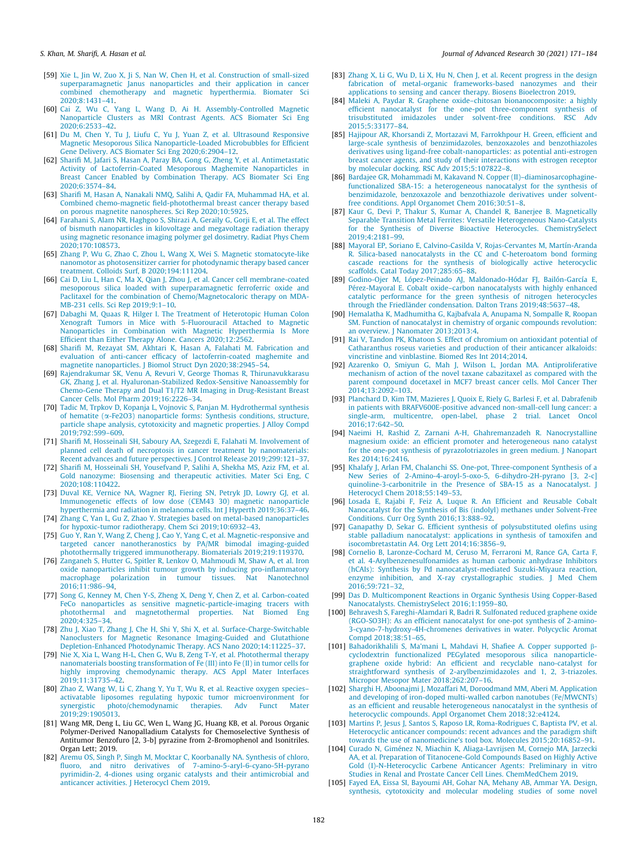- [59] Xie L, Jin W, Zuo X, Ji S, Nan W, Chen H, et al. Construction of small-sized superparamagnetic Janus nanoparticles and their application in cancer combined chemotherapy and magnetic hyperthermia. Biomater Sci 2020;8:1431–41.
- [60] Cai Z, Wu C, Yang L, Wang D, Ai H. Assembly-Controlled Magnetic Nanoparticle Clusters as MRI Contrast Agents. ACS Biomater Sci Eng 2020;6:2533–42.
- [61] Du M, Chen Y, Tu J, Liufu C, Yu J, Yuan Z, et al. Ultrasound Responsive Magnetic Mesoporous Silica Nanoparticle-Loaded Microbubbles for Efficient Gene Delivery. ACS Biomater Sci Eng 2020;6:2904–12.
- [62] Sharifi M, Jafari S, Hasan A, Paray BA, Gong G, Zheng Y, et al. Antimetastatic Activity of Lactoferrin-Coated Mesoporous Maghemite Nanoparticles in Breast Cancer Enabled by Combination Therapy. ACS Biomater Sci Eng 2020;6:3574–84.
- [63] Sharifi M, Hasan A, Nanakali NMQ, Salihi A, Qadir FA, Muhammad HA, et al. Combined chemo-magnetic field-photothermal breast cancer therapy based on porous magnetite nanospheres. Sci Rep 2020;10:5925.
- [64] Farahani S, Alam NR, Haghgoo S, Shirazi A, Geraily G, Gorji E, et al. The effect of bismuth nanoparticles in kilovoltage and megavoltage radiation therapy using magnetic resonance imaging polymer gel dosimetry. Radiat Phys Chem 2020;170:108573.
- [65] Zhang P, Wu G, Zhao C, Zhou L, Wang X, Wei S. Magnetic stomatocyte-like nanomotor as photosensitizer carrier for photodynamic therapy based cancer treatment. Colloids Surf, B 2020;194:111204.
- [66] Cai D, Liu L, Han C, Ma X, Qian J, Zhou J, et al. Cancer cell membrane-coated mesoporous silica loaded with superparamagnetic ferroferric oxide and Paclitaxel for the combination of Chemo/Magnetocaloric therapy on MDA-MB-231 cells. Sci Rep 2019;9:1–10.
- [67] Dabaghi M, Quaas R, Hilger I. The Treatment of Heterotopic Human Colon Xenograft Tumors in Mice with 5-Fluorouracil Attached to Magnetic Nanoparticles in Combination with Magnetic Hyperthermia Is More Efficient than Either Therapy Alone. Cancers 2020;12:2562.
- [68] Sharifi M, Rezayat SM, Akhtari K, Hasan A, Falahati M. Fabrication and evaluation of anti-cancer efficacy of lactoferrin-coated maghemite and magnetite nanoparticles. J Biomol Struct Dyn 2020;38:2945–54.
- [69] Rajendrakumar SK, Venu A, Revuri V, George Thomas R, Thirunavukkarasu GK, Zhang J, et al. Hyaluronan-Stabilized Redox-Sensitive Nanoassembly for Chemo-Gene Therapy and Dual T1/T2 MR Imaging in Drug-Resistant Breast Cancer Cells. Mol Pharm 2019;16:2226–34.
- [70] Tadic M, Trpkov D, Kopanja L, Vojnovic S, Panjan M. Hydrothermal synthesis of hematite (a-Fe2O3) nanoparticle forms: Synthesis conditions, structure, particle shape analysis, cytotoxicity and magnetic properties. J Alloy Compd 2019;792:599–609.
- [71] Sharifi M, Hosseinali SH, Saboury AA, Szegezdi E, Falahati M. Involvement of planned cell death of necroptosis in cancer treatment by nanomaterials: Recent advances and future perspectives. J Control Release 2019;299:121–37.
- [72] Sharifi M, Hosseinali SH, Yousefvand P, Salihi A, Shekha MS, Aziz FM, et al. Gold nanozyme: Biosensing and therapeutic activities. Mater Sci Eng, C 2020;108:110422.
- [73] Duval KE, Vernice NA, Wagner RJ, Fiering SN, Petryk JD, Lowry GJ, et al. Immunogenetic effects of low dose (CEM43 30) magnetic nanoparticle hyperthermia and radiation in melanoma cells. Int J Hyperth 2019;36:37-46.
- [74] Zhang C, Yan L, Gu Z, Zhao Y. Strategies based on metal-based nanoparticles for hypoxic-tumor radiotherapy. Chem Sci 2019;10:6932–43. [75] Guo Y, Ran Y, Wang Z, Cheng J, Cao Y, Yang C, et al. Magnetic-responsive and
- targeted cancer nanotheranostics by PA/MR bimodal imaging-guided photothermally triggered immunotherapy. Biomaterials 2019;219:119370.
- [76] Zanganeh S, Hutter G, Spitler R, Lenkov O, Mahmoudi M, Shaw A, et al. Iron oxide nanoparticles inhibit tumour growth by inducing pro-inflammatory macrophage polarization in tumour tissues. Nat Nanotechnol 2016;11:986–94.
- [77] Song G, Kenney M, Chen Y-S, Zheng X, Deng Y, Chen Z, et al. Carbon-coated FeCo nanoparticles as sensitive magnetic-particle-imaging tracers with photothermal and magnetothermal properties. Nat Biomed Eng 2020;4:325–34.
- [78] Zhu J, Xiao T, Zhang J, Che H, Shi Y, Shi X, et al. Surface-Charge-Switchable Nanoclusters for Magnetic Resonance Imaging-Guided and Glutathione Depletion-Enhanced Photodynamic Therapy. ACS Nano 2020;14:11225–37.
- [79] Nie X, Xia L, Wang H-L, Chen G, Wu B, Zeng T-Y, et al. Photothermal therapy nanomaterials boosting transformation of Fe (III) into Fe (II) in tumor cells for highly improving chemodynamic therapy. ACS Appl Mater Interfaces 2019;11:31735–42.
- [80] Zhao Z, Wang W, Li C, Zhang Y, Yu T, Wu R, et al. Reactive oxygen species– activatable liposomes regulating hypoxic tumor microenvironment for synergistic photo/chemodynamic therapies. Adv Funct Mater 2019;29:1905013.
- [81] Wang MR, Deng L, Liu GC, Wen L, Wang JG, Huang KB, et al. Porous Organic Polymer-Derived Nanopalladium Catalysts for Chemoselective Synthesis of Antitumor Benzofuro [2, 3-b] pyrazine from 2-Bromophenol and Isonitriles. Organ Lett; 2019.
- [82] Aremu OS, Singh P, Singh M, Mocktar C, Koorbanally NA. Synthesis of chloro, fluoro, and nitro derivatives of 7-amino-5-aryl-6-cyano-5H-pyrano pyrimidin-2, 4-diones using organic catalysts and their antimicrobial and anticancer activities. J Heterocycl Chem 2019.
- [83] Zhang X, Li G, Wu D, Li X, Hu N, Chen J, et al. Recent progress in the design fabrication of metal-organic frameworks-based nanozymes and their applications to sensing and cancer therapy. Biosens Bioelectron 2019.
- [84] Maleki A, Paydar R. Graphene oxide–chitosan bionanocomposite: a highly efficient nanocatalyst for the one-pot three-component synthesis of trisubstituted imidazoles under solvent-free conditions. RSC Adv 2015;5:33177–84.
- [85] Hajipour AR, Khorsandi Z, Mortazavi M, Farrokhpour H. Green, efficient and large-scale synthesis of benzimidazoles, benzoxazoles and benzothiazoles derivatives using ligand-free cobalt-nanoparticles: as potential anti-estrogen breast cancer agents, and study of their interactions with estrogen receptor by molecular docking. RSC Adv 2015;5:107822–8.
- [86] Bardajee GR, Mohammadi M, Kakavand N. Copper (II)–diaminosarcophaginefunctionalized SBA-15: a heterogeneous nanocatalyst for the synthesis of benzimidazole, benzoxazole and benzothiazole derivatives under solventfree conditions. Appl Organomet Chem 2016;30:51–8.
- [87] Kaur G, Devi P, Thakur S, Kumar A, Chandel R, Banerjee B. Magnetically Separable Transition Metal Ferrites: Versatile Heterogeneous Nano-Catalysts for the Synthesis of Diverse Bioactive Heterocycles. ChemistrySelect 2019;4:2181–99.
- [88] Mayoral EP, Soriano E, Calvino-Casilda V, Rojas-Cervantes M, Martín-Aranda R. Silica-based nanocatalysts in the CC and C-heteroatom bond forming cascade reactions for the synthesis of biologically active heterocyclic scaffolds. Catal Today 2017;285:65–88.
- [89] Godino-Ojer M, López-Peinado AJ, Maldonado-Hódar FJ, Bailón-García E, Pérez-Mayoral E. Cobalt oxide–carbon nanocatalysts with highly enhanced catalytic performance for the green synthesis of nitrogen heterocycles through the Friedländer condensation. Dalton Trans 2019;48:5637–48.
- [90] Hemalatha K, Madhumitha G, Kajbafvala A, Anupama N, Sompalle R, Roopan SM. Function of nanocatalyst in chemistry of organic compounds revolution: an overview. J Nanomater 2013;2013:4.
- [91] Rai V, Tandon PK, Khatoon S. Effect of chromium on antioxidant potential of Catharanthus roseus varieties and production of their anticancer alkaloids: vincristine and vinblastine. Biomed Res Int 2014;2014.
- [92] Azarenko O, Smiyun G, Mah J, Wilson L, Jordan MA. Antiproliferative mechanism of action of the novel taxane cabazitaxel as compared with the parent compound docetaxel in MCF7 breast cancer cells. Mol Cancer Ther <sub>.</sub><br>2014;13:2092–103.
- [93] Planchard D, Kim TM, Mazieres J, Quoix E, Riely G, Barlesi F, et al. Dabrafenib in patients with BRAFV600E-positive advanced non-small-cell lung cancer: a single-arm, multicentre, open-label, phase 2 trial. Lancet Oncol 2016;17:642–50.
- [94] Naeimi H, Rashid Z, Zarnani A-H, Ghahremanzadeh R. Nanocrystalline magnesium oxide: an efficient promoter and heterogeneous nano catalyst for the one-pot synthesis of pyrazolotriazoles in green medium. J Nanopart Res 2014;16:2416.
- [95] Khalafy J, Arlan FM, Chalanchi SS, One-pot, Three-component Synthesis of a New Series of 2-Amino-4-aroyl-5-oxo-5, 6-dihydro-2H-pyrano [3, 2-c] quinoline-3-carbonitrile in the Presence of SBA-15 as a Nanocatalyst. Heterocycl Chem 2018;55:149–53.
- [96] Losada E, Rajabi F, Feiz A, Luque R. An Efficient and Reusable Cobalt Nanocatalyst for the Synthesis of Bis (indolyl) methanes under Solvent-Free Conditions. Curr Org Synth 2016;13:888–92.
- [97] Ganapathy D, Sekar G. Efficient synthesis of polysubstituted olefins using stable palladium nanocatalyst: applications in synthesis of tamoxifen and isocombretastatin A4. Org Lett 2014;16:3856–9.
- [98] Cornelio B, Laronze-Cochard M, Ceruso M, Ferraroni M, Rance GA, Carta F, et al. 4-Arylbenzenesulfonamides as human carbonic anhydrase Inhibitors (hCAIs): Synthesis by Pd nanocatalyst-mediated Suzuki-Miyaura reaction, enzyme inhibition, and X-ray crystallographic studies. J Med Chem 2016;59:721–32.
- [99] Das D. Multicomponent Reactions in Organic Synthesis Using Copper-Based Nanocatalysts. ChemistrySelect 2016;1:1959–80.
- [100] Behravesh S, Fareghi-Alamdari R, Badri R. Sulfonated reduced graphene oxide (RGO-SO3H): As an efficient nanocatalyst for one-pot synthesis of 2-amino-3-cyano-7-hydroxy-4H-chromenes derivatives in water. Polycyclic Aromat Compd 2018;38:51–65.
- [101] Bahadorikhalili S, Ma'mani L, Mahdavi H, Shafiee A. Copper supported bcyclodextrin functionalized PEGylated mesoporous silica nanoparticlegraphene oxide hybrid: An efficient and recyclable nano-catalyst for straightforward synthesis of 2-arylbenzimidazoles and 1, 2, 3-triazoles. Micropor Mesopor Mater 2018;262:207–16.
- [102] Sharghi H, Aboonajmi J, Mozaffari M, Doroodmand MM, Aberi M. Application and developing of iron-doped multi-walled carbon nanotubes (Fe/MWCNTs) as an efficient and reusable heterogeneous nanocatalyst in the synthesis of heterocyclic compounds. Appl Organomet Chem 2018;32:e4124.
- [103] Martins P, Jesus J, Santos S, Raposo LR, Roma-Rodrigues C, Baptista PV, et al. Heterocyclic anticancer compounds: recent advances and the paradigm shift towards the use of nanomedicine's tool box. Molecules 2015;20:16852–91.
- [104] Curado N, Giménez N, Miachin K, Aliaga-Lavrijsen M, Cornejo MA, Jarzecki AA, et al. Preparation of Titanocene-Gold Compounds Based on Highly Active Gold (I)-N-Heterocyclic Carbene Anticancer Agents: Preliminary in vitro Studies in Renal and Prostate Cancer Cell Lines. ChemMedChem 2019.
- [105] Fayed EA, Eissa SI, Bayoumi AH, Gohar NA, Mehany AB, Ammar YA. Design, synthesis, cytotoxicity and molecular modeling studies of some novel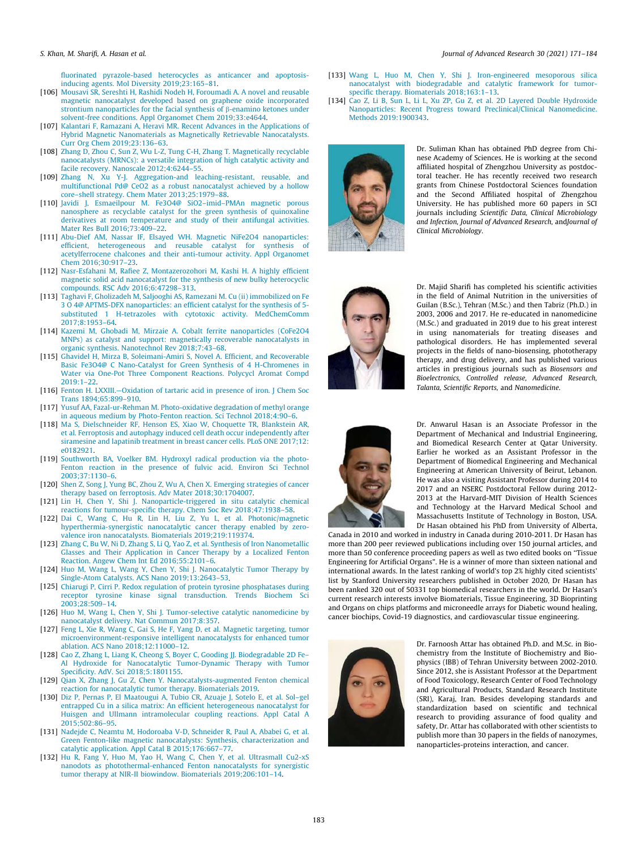fluorinated pyrazole-based heterocycles as anticancer and apoptosisinducing agents. Mol Diversity 2019;23:165–81.

- [106] Mousavi SR, Sereshti H, Rashidi Nodeh H, Foroumadi A. A novel and reusable magnetic nanocatalyst developed based on graphene oxide incorporated strontium nanoparticles for the facial synthesis of  $\beta$ -enamino ketones under solvent-free conditions. Appl Organomet Chem 2019;33:e4644.
- [107] Kalantari F, Ramazani A, Heravi MR. Recent Advances in the Applications of Hybrid Magnetic Nanomaterials as Magnetically Retrievable Nanocatalysts. Curr Org Chem 2019;23:136–63.
- [108] Zhang D, Zhou C, Sun Z, Wu L-Z, Tung C-H, Zhang T. Magnetically recyclable nanocatalysts (MRNCs): a versatile integration of high catalytic activity and facile recovery. Nanoscale 2012;4:6244–55.
- [109] Zhang N, Xu Y-J. Aggregation-and leaching-resistant, reusable, and multifunctional Pd@ CeO2 as a robust nanocatalyst achieved by a hollow core–shell strategy. Chem Mater 2013;25:1979–88.
- [110] Javidi J, Esmaeilpour M. Fe3O4@ SiO2–imid–PMAn magnetic porous nanosphere as recyclable catalyst for the green synthesis of quinoxaline derivatives at room temperature and study of their antifungal activities. Mater Res Bull 2016;73:409–22.
- [111] Abu-Dief AM, Nassar IF, Elsayed WH. Magnetic NiFe2O4 nanoparticles: efficient, heterogeneous and reusable catalyst for synthesis of acetylferrocene chalcones and their anti-tumour activity. Appl Organomet Chem 2016;30:917–23.
- [112] Nasr-Esfahani M, Rafiee Z, Montazerozohori M, Kashi H. A highly efficient magnetic solid acid nanocatalyst for the synthesis of new bulky heterocyclic compounds. RSC Adv 2016;6:47298–313.
- [113] Taghavi F, Gholizadeh M, Saljooghi AS, Ramezani M. Cu (ii) immobilized on Fe 3 O 4@ APTMS-DFX nanoparticles: an efficient catalyst for the synthesis of 5 substituted 1 H-tetrazoles with cytotoxic activity. MedChemComm 2017;8:1953–64.
- [114] Kazemi M, Ghobadi M, Mirzaie A. Cobalt ferrite nanoparticles (CoFe2O4 MNPs) as catalyst and support: magnetically recoverable nanocatalysts in organic synthesis. Nanotechnol Rev 2018;7:43–68.
- [115] Ghavidel H, Mirza B, Soleimani-Amiri S, Novel A. Efficient, and Recoverable Basic Fe3O4@ C Nano-Catalyst for Green Synthesis of 4 H-Chromenes in Water via One-Pot Three Component Reactions. Polycycl Aromat Compd 2019:1–22.
- [116] Fenton H. LXXIII.--Oxidation of tartaric acid in presence of iron. J Chem Soc Trans 1894;65:899–910.
- [117] Yusuf AA, Fazal-ur-Rehman M. Photo-oxidative degradation of methyl orange in aqueous medium by Photo-Fenton reaction. Sci Technol 2018;4:90–6.
- [118] Ma S, Dielschneider RF, Henson ES, Xiao W, Choquette TR, Blankstein AR, et al. Ferroptosis and autophagy induced cell death occur independently after siramesine and lapatinib treatment in breast cancer cells. PLoS ONE 2017;12: e0182921.
- [119] Southworth BA, Voelker BM. Hydroxyl radical production via the photo-Fenton reaction in the presence of fulvic acid. Environ Sci Technol 2003;37:1130–6.
- [120] Shen Z, Song J, Yung BC, Zhou Z, Wu A, Chen X. Emerging strategies of cancer therapy based on ferroptosis. Adv Mater 2018;30:1704007.
- [121] Lin H, Chen Y, Shi J. Nanoparticle-triggered in situ catalytic chemical reactions for tumour-specific therapy. Chem Soc Rev 2018;47:1938–58.
- [122] Dai C, Wang C, Hu R, Lin H, Liu Z, Yu L, et al. Photonic/magnetic hyperthermia-synergistic nanocatalytic cancer therapy enabled by zerovalence iron nanocatalysts. Biomaterials 2019;219:119374.
- [123] Zhang C, Bu W, Ni D, Zhang S, Li Q, Yao Z, et al. Synthesis of Iron Nanometallic Glasses and Their Application in Cancer Therapy by a Localized Fenton Reaction. Angew Chem Int Ed 2016;55:2101–6.
- [124] Huo M, Wang L, Wang Y, Chen Y, Shi J. Nanocatalytic Tumor Therapy by Single-Atom Catalysts. ACS Nano 2019;13:2643–53.
- [125] Chiarugi P, Cirri P. Redox regulation of protein tyrosine phosphatases during receptor tyrosine kinase signal transduction. Trends Biochem Sci 2003;28:509–14.
- [126] Huo M, Wang L, Chen Y, Shi J. Tumor-selective catalytic nanomedicine by nanocatalyst delivery. Nat Commun 2017;8:357.
- [127] Feng L, Xie R, Wang C, Gai S, He F, Yang D, et al. Magnetic targeting, tumor microenvironment-responsive intelligent nanocatalysts for enhanced tumor ablation. ACS Nano 2018;12:11000–12.
- [128] Cao Z, Zhang L, Liang K, Cheong S, Boyer C, Gooding JJ. Biodegradable 2D Fe– Al Hydroxide for Nanocatalytic Tumor-Dynamic Therapy with Tumor Specificity. AdV. Sci 2018;5:1801155.
- [129] Qian X, Zhang J, Gu Z, Chen Y. Nanocatalysts-augmented Fenton chemical reaction for nanocatalytic tumor therapy. Biomaterials 2019.
- [130] Diz P, Pernas P, El Maatougui A, Tubio CR, Azuaje J, Sotelo E, et al. Sol–gel entrapped Cu in a silica matrix: An efficient heterogeneous nanocatalyst for Huisgen and Ullmann intramolecular coupling reactions. Appl Catal A 2015;502:86–95.
- [131] Nadejde C, Neamtu M, Hodoroaba V-D, Schneider R, Paul A, Ababei G, et al. Green Fenton-like magnetic nanocatalysts: Synthesis, characterization and catalytic application. Appl Catal B 2015;176:667–77.
- [132] Hu R, Fang Y, Huo M, Yao H, Wang C, Chen Y, et al. Ultrasmall Cu2-xS nanodots as photothermal-enhanced Fenton nanocatalysts for synergistic tumor therapy at NIR-II biowindow. Biomaterials 2019;206:101–14.
- [133] Wang L, Huo M, Chen Y, Shi J. Iron-engineered mesoporous silica nanocatalyst with biodegradable and catalytic framework for tumorspecific therapy. Biomaterials 2018;163:1–13.
- [134] Cao Z, Li B, Sun L, Li L, Xu ZP, Gu Z, et al. 2D Layered Double Hydroxide Nanoparticles: Recent Progress toward Preclinical/Clinical Nanomedicine. Methods 2019:1900343.



Dr. Suliman Khan has obtained PhD degree from Chinese Academy of Sciences. He is working at the second affiliated hospital of Zhengzhou University as postdoctoral teacher. He has recently received two research grants from Chinese Postdoctoral Sciences foundation and the Second Affiliated hospital of Zhengzhou University. He has published more 60 papers in SCI journals including *Scientific Data, Clinical Microbiology and Infection, Journal of Advanced Research,* and*Journal of Clinical Microbiology*.



Dr. Majid Sharifi has completed his scientific activities in the field of Animal Nutrition in the universities of Guilan (B.Sc.), Tehran (M.Sc.) and then Tabriz (Ph.D.) in 2003, 2006 and 2017. He re-educated in nanomedicine (M.Sc.) and graduated in 2019 due to his great interest in using nanomaterials for treating diseases and pathological disorders. He has implemented several projects in the fields of nano-biosensing, phototherapy therapy, and drug delivery, and has published various articles in prestigious journals such as *Biosensors and Bioelectronics, Controlled release, Advanced Research, Talanta, Scientific Reports,* and *Nanomedicine*.



Dr. Anwarul Hasan is an Associate Professor in the Department of Mechanical and Industrial Engineering, and Biomedical Research Center at Qatar University. Earlier he worked as an Assistant Professor in the Department of Biomedical Engineering and Mechanical Engineering at American University of Beirut, Lebanon. He was also a visiting Assistant Professor during 2014 to 2017 and an NSERC Postdoctoral Fellow during 2012- 2013 at the Harvard-MIT Division of Health Sciences and Technology at the Harvard Medical School and Massachusetts Institute of Technology in Boston, USA. Dr Hasan obtained his PhD from University of Alberta,

Canada in 2010 and worked in industry in Canada during 2010-2011. Dr Hasan has more than 200 peer reviewed publications including over 150 journal articles, and more than 50 conference proceeding papers as well as two edited books on ''Tissue Engineering for Artificial Organs". He is a winner of more than sixteen national and international awards. In the latest ranking of world's top 2% highly cited scientists' list by Stanford University researchers published in October 2020, Dr Hasan has been ranked 320 out of 50331 top biomedical researchers in the world. Dr Hasan's current research interests involve Biomaterials, Tissue Engineering, 3D Bioprinting and Organs on chips platforms and microneedle arrays for Diabetic wound healing, cancer biochips, Covid-19 diagnostics, and cardiovascular tissue engineering.



Dr. Farnoosh Attar has obtained Ph.D. and M.Sc. in Biochemistry from the Institute of Biochemistry and Biophysics (IBB) of Tehran University between 2002-2010. Since 2012, she is Assistant Professor at the Department of Food Toxicology, Research Center of Food Technology and Agricultural Products, Standard Research Institute (SRI), Karaj, Iran. Besides developing standards and standardization based on scientific and technical research to providing assurance of food quality and safety, Dr. Attar has collaborated with other scientists to publish more than 30 papers in the fields of nanozymes, nanoparticles-proteins interaction, and cancer.